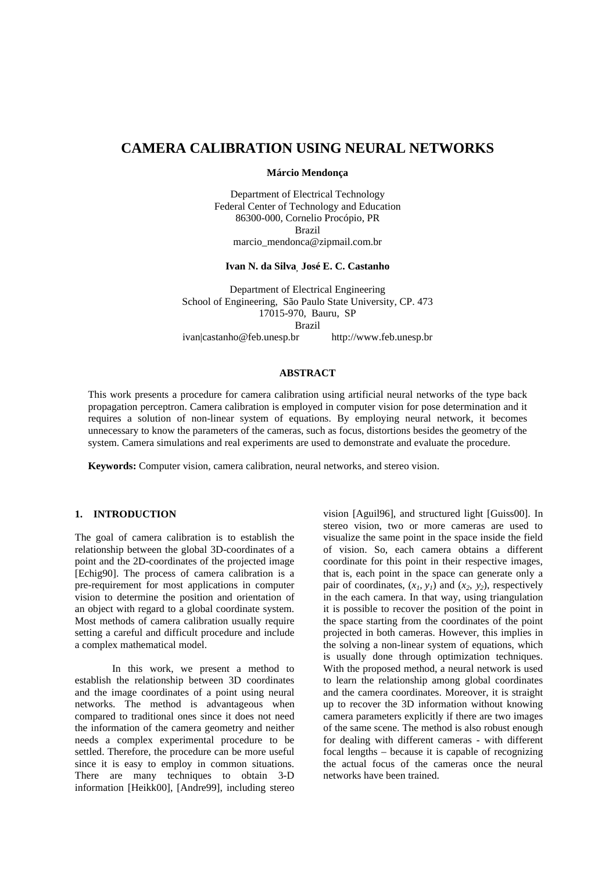# **CAMERA CALIBRATION USING NEURAL NETWORKS**

**Márcio Mendonça**

Department of Electrical Technology Federal Center of Technology and Education 86300-000, Cornelio Procópio, PR Brazil marcio\_mendonca@zipmail.com.br

**Ivan N. da Silva, José E. C. Castanho**

Department of Electrical Engineering School of Engineering, São Paulo State University, CP. 473 17015-970, Bauru, SP Brazil ivan|castanho@feb.unesp.br http://www.feb.unesp.br

## **ABSTRACT**

This work presents a procedure for camera calibration using artificial neural networks of the type back propagation perceptron. Camera calibration is employed in computer vision for pose determination and it requires a solution of non-linear system of equations. By employing neural network, it becomes unnecessary to know the parameters of the cameras, such as focus, distortions besides the geometry of the system. Camera simulations and real experiments are used to demonstrate and evaluate the procedure.

**Keywords:** Computer vision, camera calibration, neural networks, and stereo vision.

## **1. INTRODUCTION**

The goal of camera calibration is to establish the relationship between the global 3D-coordinates of a point and the 2D-coordinates of the projected image [Echig90]. The process of camera calibration is a pre-requirement for most applications in computer vision to determine the position and orientation of an object with regard to a global coordinate system. Most methods of camera calibration usually require setting a careful and difficult procedure and include a complex mathematical model.

In this work, we present a method to establish the relationship between 3D coordinates and the image coordinates of a point using neural networks. The method is advantageous when compared to traditional ones since it does not need the information of the camera geometry and neither needs a complex experimental procedure to be settled. Therefore, the procedure can be more useful since it is easy to employ in common situations. There are many techniques to obtain 3-D information [Heikk00], [Andre99], including stereo

vision [Aguil96], and structured light [Guiss00]. In stereo vision, two or more cameras are used to visualize the same point in the space inside the field of vision. So, each camera obtains a different coordinate for this point in their respective images, that is, each point in the space can generate only a pair of coordinates,  $(x_1, y_1)$  and  $(x_2, y_2)$ , respectively in the each camera. In that way, using triangulation it is possible to recover the position of the point in the space starting from the coordinates of the point projected in both cameras. However, this implies in the solving a non-linear system of equations, which is usually done through optimization techniques. With the proposed method, a neural network is used to learn the relationship among global coordinates and the camera coordinates. Moreover, it is straight up to recover the 3D information without knowing camera parameters explicitly if there are two images of the same scene. The method is also robust enough for dealing with different cameras - with different focal lengths – because it is capable of recognizing the actual focus of the cameras once the neural networks have been trained.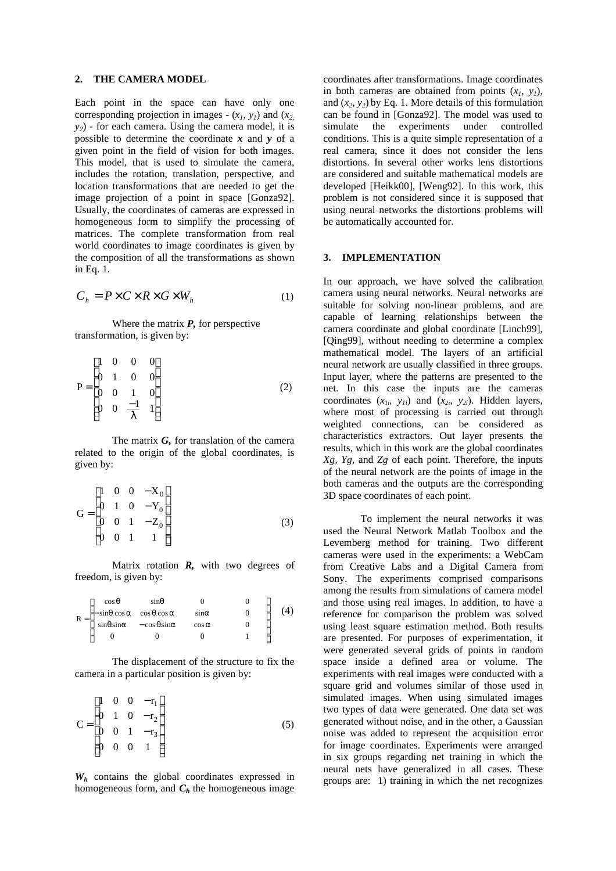## **2. THE CAMERA MODEL**

Each point in the space can have only one corresponding projection in images  $-(x_1, y_1)$  and  $(x_2, y_2)$ *y2*) - for each camera. Using the camera model, it is possible to determine the coordinate *x* and *y* of a given point in the field of vision for both images. This model, that is used to simulate the camera, includes the rotation, translation, perspective, and location transformations that are needed to get the image projection of a point in space [Gonza92]. Usually, the coordinates of cameras are expressed in homogeneous form to simplify the processing of matrices. The complete transformation from real world coordinates to image coordinates is given by the composition of all the transformations as shown in Eq. 1.

$$
C_h = P \times C \times R \times G \times W_h \tag{1}
$$

Where the matrix *P,* for perspective transformation, is given by:

$$
P = \begin{bmatrix} 1 & 0 & 0 & 0 \\ 0 & 1 & 0 & 0 \\ 0 & 0 & 1 & 0 \\ 0 & 0 & \frac{-1}{\lambda} & 1 \end{bmatrix}
$$
 (2)

The matrix *G,* for translation of the camera related to the origin of the global coordinates, is given by:

$$
G = \begin{bmatrix} 1 & 0 & 0 & -X_0 \\ 0 & 1 & 0 & -Y_0 \\ 0 & 0 & 1 & -Z_0 \\ 0 & 0 & 1 & 1 \end{bmatrix}
$$
(3)

Matrix rotation *R,* with two degrees of freedom, is given by:

| $R =$ | $\cos \theta$                                                            | $sin\theta$                                               |               |  |
|-------|--------------------------------------------------------------------------|-----------------------------------------------------------|---------------|--|
|       | $\vert -\sin\theta \cdot \cos\alpha - \cos\theta \cdot \cos\alpha \vert$ |                                                           | $sin \alpha$  |  |
|       |                                                                          | $sin\theta \cdot sin\alpha$ - $cos\theta \cdot sin\alpha$ | $\cos \alpha$ |  |
|       |                                                                          |                                                           |               |  |

The displacement of the structure to fix the camera in a particular position is given by:

$$
C = \begin{bmatrix} 1 & 0 & 0 & -r_1 \\ 0 & 1 & 0 & -r_2 \\ 0 & 0 & 1 & -r_3 \\ 0 & 0 & 0 & 1 \end{bmatrix}
$$
 (5)

*Wh* contains the global coordinates expressed in homogeneous form, and  $C_h$  the homogeneous image coordinates after transformations. Image coordinates in both cameras are obtained from points  $(x_1, y_1)$ , and  $(x_2, y_2)$  by Eq. 1. More details of this formulation can be found in [Gonza92]. The model was used to simulate the experiments under controlled conditions. This is a quite simple representation of a real camera, since it does not consider the lens distortions. In several other works lens distortions are considered and suitable mathematical models are developed [Heikk00], [Weng92]. In this work, this problem is not considered since it is supposed that using neural networks the distortions problems will be automatically accounted for.

## **3. IMPLEMENTATION**

In our approach, we have solved the calibration camera using neural networks. Neural networks are suitable for solving non-linear problems, and are capable of learning relationships between the camera coordinate and global coordinate [Linch99], [Qing99], without needing to determine a complex mathematical model. The layers of an artificial neural network are usually classified in three groups. Input layer, where the patterns are presented to the net. In this case the inputs are the cameras coordinates  $(x_{1i}, y_{1i})$  and  $(x_{2i}, y_{2i})$ . Hidden layers, where most of processing is carried out through weighted connections, can be considered as characteristics extractors. Out layer presents the results, which in this work are the global coordinates *Xg, Yg,* and *Zg* of each point. Therefore, the inputs of the neural network are the points of image in the both cameras and the outputs are the corresponding 3D space coordinates of each point.

To implement the neural networks it was used the Neural Network Matlab Toolbox and the Levemberg method for training. Two different cameras were used in the experiments: a WebCam from Creative Labs and a Digital Camera from Sony. The experiments comprised comparisons among the results from simulations of camera model and those using real images. In addition, to have a reference for comparison the problem was solved using least square estimation method. Both results are presented. For purposes of experimentation, it were generated several grids of points in random space inside a defined area or volume. The experiments with real images were conducted with a square grid and volumes similar of those used in simulated images. When using simulated images two types of data were generated. One data set was generated without noise, and in the other, a Gaussian noise was added to represent the acquisition error for image coordinates. Experiments were arranged in six groups regarding net training in which the neural nets have generalized in all cases. These groups are: 1) training in which the net recognizes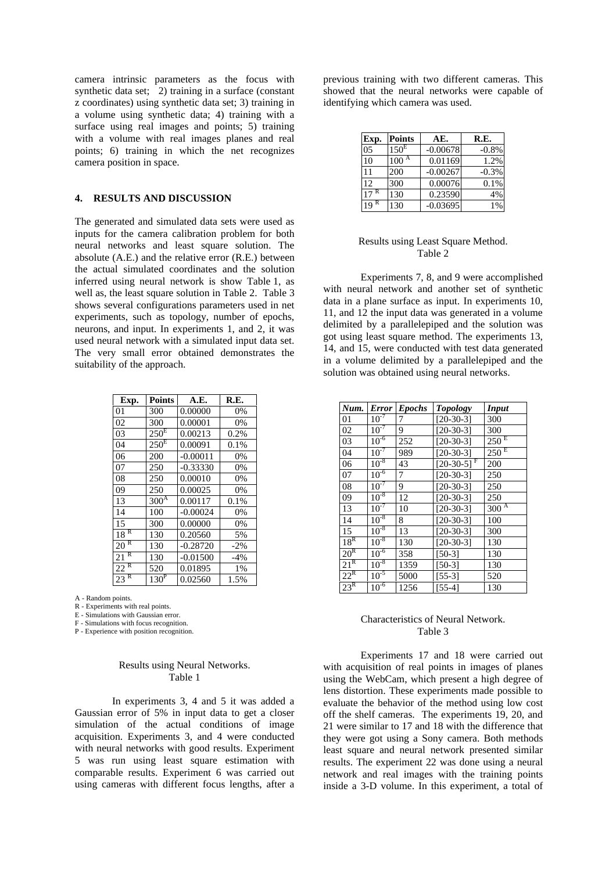camera intrinsic parameters as the focus with synthetic data set; 2) training in a surface (constant z coordinates) using synthetic data set; 3) training in a volume using synthetic data; 4) training with a surface using real images and points; 5) training with a volume with real images planes and real points; 6) training in which the net recognizes camera position in space.

## **4. RESULTS AND DISCUSSION**

The generated and simulated data sets were used as inputs for the camera calibration problem for both neural networks and least square solution. The absolute (A.E.) and the relative error (R.E.) between the actual simulated coordinates and the solution inferred using neural network is show Table 1, as well as, the least square solution in Table 2. Table 3 shows several configurations parameters used in net experiments, such as topology, number of epochs, neurons, and input. In experiments 1, and 2, it was used neural network with a simulated input data set. The very small error obtained demonstrates the suitability of the approach.

| Exp.    | <b>Points</b>    | A.E.       | R.E.   |
|---------|------------------|------------|--------|
| 01      | 300              | 0.00000    | 0%     |
| 02      | 300              | 0.00001    | 0%     |
| 03      | $250^{\text{E}}$ | 0.00213    | 0.2%   |
| 04      | $250^{\rm E}$    | 0.00091    | 0.1%   |
| 06      | 200              | $-0.00011$ | 0%     |
| 07      | 250              | $-0.33330$ | 0%     |
| 08      | 250              | 0.00010    | 0%     |
| 09      | 250              | 0.00025    | 0%     |
| 13      | 300 <sup>A</sup> | 0.00117    | 0.1%   |
| 14      | 100              | $-0.00024$ | 0%     |
| 15      | 300              | 0.00000    | 0%     |
| R<br>18 | 130              | 0.20560    | 5%     |
| R<br>20 | 130              | $-0.28720$ | $-2\%$ |
| R<br>21 | 130              | $-0.01500$ | $-4%$  |
| R<br>22 | 520              | 0.01895    | 1%     |
| R<br>23 | 130 <sup>P</sup> | 0.02560    | 1.5%   |

A - Random points.

R - Experiments with real points.

E - Simulations with Gaussian error.

F - Simulations with focus recognition.

P - Experience with position recognition.

## Results using Neural Networks. Table 1

In experiments 3, 4 and 5 it was added a Gaussian error of 5% in input data to get a closer simulation of the actual conditions of image acquisition. Experiments 3, and 4 were conducted with neural networks with good results. Experiment 5 was run using least square estimation with comparable results. Experiment 6 was carried out using cameras with different focus lengths, after a

previous training with two different cameras. This showed that the neural networks were capable of identifying which camera was used.

| Exp.    | <b>Points</b>    | AE.        | R.E.    |
|---------|------------------|------------|---------|
| 05      | 150 <sup>E</sup> | $-0.00678$ | $-0.8%$ |
| 10      | 100              | 0.01169    | 1.2%    |
| 11      | 200              | $-0.00267$ | $-0.3%$ |
| 12      | 300              | 0.00076    | 0.1%    |
| 17      | 130              | 0.23590    | 4%      |
| R<br>19 | 130              | $-0.03695$ | $1\%$   |

#### Results using Least Square Method. Table 2

Experiments 7, 8, and 9 were accomplished with neural network and another set of synthetic data in a plane surface as input. In experiments 10, 11, and 12 the input data was generated in a volume delimited by a parallelepiped and the solution was got using least square method. The experiments 13, 14, and 15, were conducted with test data generated in a volume delimited by a parallelepiped and the solution was obtained using neural networks.

| Num.            | <b>Error</b> | <b>Epochs</b> | <b>Topology</b>          | <b>Input</b>       |
|-----------------|--------------|---------------|--------------------------|--------------------|
| 01              | $10^{-7}$    | 7             | $[20-30-3]$              | 300                |
| 02              | $10^{-7}$    | 9             | $[20-30-3]$              | 300                |
| 03              | $10^{-6}$    | 252           | $[20-30-3]$              | 250 <sup>E</sup>   |
| 04              | $10^{-7}$    | 989           | $[20-30-3]$              | $250$ <sup>E</sup> |
| 06              | $10^{-8}$    | 43            | $[20-30-5]$ <sup>F</sup> | 200                |
| 07              | $10^{-6}$    | 7             | $[20-30-3]$              | 250                |
| 08              | $10^{-7}$    | 9             | $[20-30-3]$              | 250                |
| 09              | $10^{-8}$    | 12            | $[20-30-3]$              | 250                |
| 13              | $10^{-7}$    | 10            | $[20-30-3]$              | 300 <sup>A</sup>   |
| 14              | $10^{-8}$    | 8             | $[20-30-3]$              | 100                |
| 15              | $10^{-8}$    | 13            | $[20-30-3]$              | 300                |
| 18 <sup>R</sup> | $10^{-8}$    | 130           | $[20-30-3]$              | 130                |
| 20 <sup>R</sup> | $10^{-6}$    | 358           | $[50-3]$                 | 130                |
| $21^{\rm R}$    | $10^{-8}$    | 1359          | $[50-3]$                 | 130                |
| $22^R$          | $10^{-5}$    | 5000          | $[55-3]$                 | 520                |
| $23^R$          | $10^{-6}$    | 1256          | $[55-4]$                 | 130                |

## Characteristics of Neural Network. Table 3

Experiments 17 and 18 were carried out with acquisition of real points in images of planes using the WebCam, which present a high degree of lens distortion. These experiments made possible to evaluate the behavior of the method using low cost off the shelf cameras. The experiments 19, 20, and 21 were similar to 17 and 18 with the difference that they were got using a Sony camera. Both methods least square and neural network presented similar results. The experiment 22 was done using a neural network and real images with the training points inside a 3-D volume. In this experiment, a total of